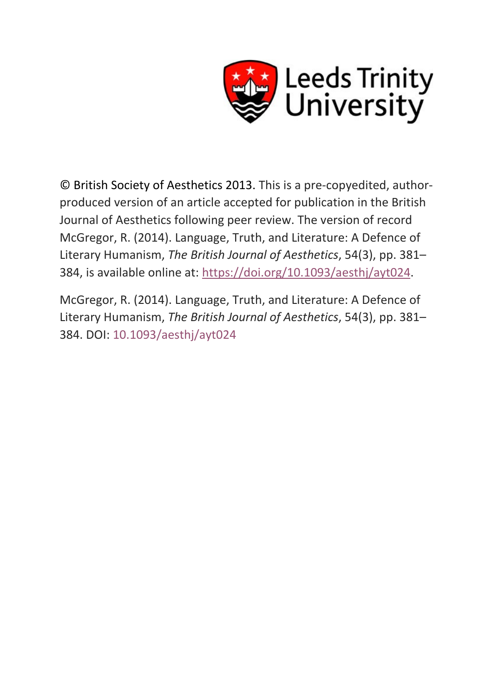

© British Society of Aesthetics 2013. This is a pre-copyedited, authorproduced version of an article accepted for publication in the British Journal of Aesthetics following peer review. The version of record McGregor, R. (2014). Language, Truth, and Literature: A Defence of Literary Humanism, *The British Journal of Aesthetics*, 54(3), pp. 381– 384, is available online at: [https://doi.org/10.1093/aesthj/ayt024.](https://doi.org/10.1093/aesthj/ayt024)

McGregor, R. (2014). Language, Truth, and Literature: A Defence of Literary Humanism, *The British Journal of Aesthetics*, 54(3), pp. 381– 384. DOI: [10.1093/aesthj/ayt024](https://doi.org/10.1093/aesthj/ayt024)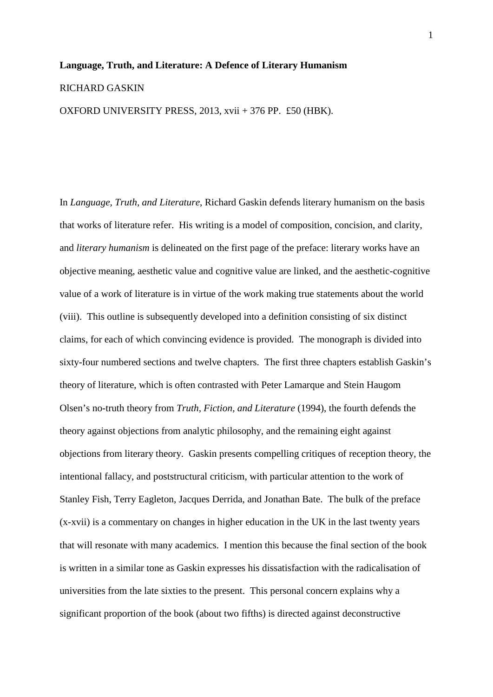## **Language, Truth, and Literature: A Defence of Literary Humanism** RICHARD GASKIN OXFORD UNIVERSITY PRESS, 2013, xvii + 376 PP. £50 (HBK).

In *Language, Truth, and Literature*, Richard Gaskin defends literary humanism on the basis that works of literature refer. His writing is a model of composition, concision, and clarity, and *literary humanism* is delineated on the first page of the preface: literary works have an objective meaning, aesthetic value and cognitive value are linked, and the aesthetic-cognitive value of a work of literature is in virtue of the work making true statements about the world (viii). This outline is subsequently developed into a definition consisting of six distinct claims, for each of which convincing evidence is provided. The monograph is divided into sixty-four numbered sections and twelve chapters. The first three chapters establish Gaskin's theory of literature, which is often contrasted with Peter Lamarque and Stein Haugom Olsen's no-truth theory from *Truth, Fiction, and Literature* (1994), the fourth defends the theory against objections from analytic philosophy, and the remaining eight against objections from literary theory. Gaskin presents compelling critiques of reception theory, the intentional fallacy, and poststructural criticism, with particular attention to the work of Stanley Fish, Terry Eagleton, Jacques Derrida, and Jonathan Bate. The bulk of the preface (x-xvii) is a commentary on changes in higher education in the UK in the last twenty years that will resonate with many academics. I mention this because the final section of the book is written in a similar tone as Gaskin expresses his dissatisfaction with the radicalisation of universities from the late sixties to the present. This personal concern explains why a significant proportion of the book (about two fifths) is directed against deconstructive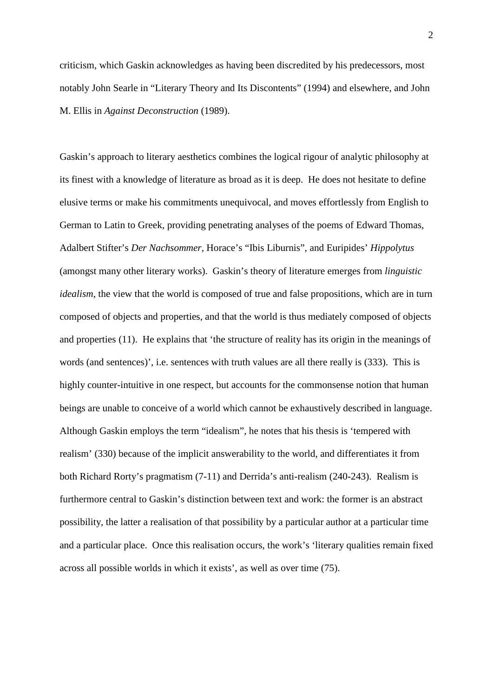criticism, which Gaskin acknowledges as having been discredited by his predecessors, most notably John Searle in "Literary Theory and Its Discontents" (1994) and elsewhere, and John M. Ellis in *Against Deconstruction* (1989).

Gaskin's approach to literary aesthetics combines the logical rigour of analytic philosophy at its finest with a knowledge of literature as broad as it is deep. He does not hesitate to define elusive terms or make his commitments unequivocal, and moves effortlessly from English to German to Latin to Greek, providing penetrating analyses of the poems of Edward Thomas, Adalbert Stifter's *Der Nachsommer,* Horace's "Ibis Liburnis", and Euripides' *Hippolytus* (amongst many other literary works). Gaskin's theory of literature emerges from *linguistic idealism*, the view that the world is composed of true and false propositions, which are in turn composed of objects and properties, and that the world is thus mediately composed of objects and properties (11). He explains that 'the structure of reality has its origin in the meanings of words (and sentences)', i.e. sentences with truth values are all there really is (333). This is highly counter-intuitive in one respect, but accounts for the commonsense notion that human beings are unable to conceive of a world which cannot be exhaustively described in language. Although Gaskin employs the term "idealism", he notes that his thesis is 'tempered with realism' (330) because of the implicit answerability to the world, and differentiates it from both Richard Rorty's pragmatism (7-11) and Derrida's anti-realism (240-243). Realism is furthermore central to Gaskin's distinction between text and work: the former is an abstract possibility, the latter a realisation of that possibility by a particular author at a particular time and a particular place. Once this realisation occurs, the work's 'literary qualities remain fixed across all possible worlds in which it exists', as well as over time (75).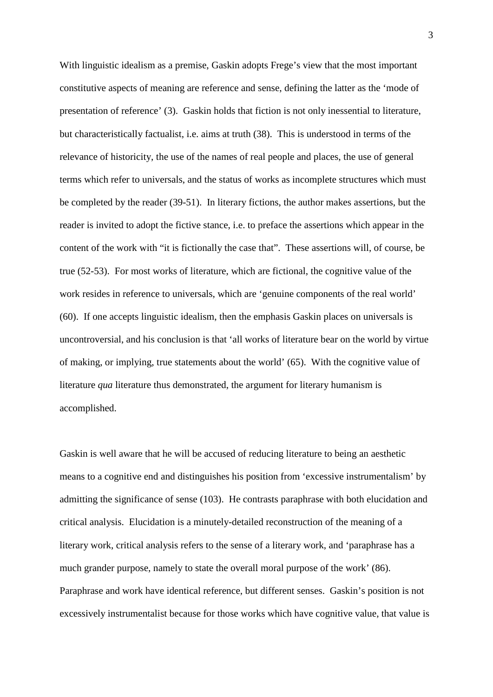With linguistic idealism as a premise, Gaskin adopts Frege's view that the most important constitutive aspects of meaning are reference and sense, defining the latter as the 'mode of presentation of reference' (3). Gaskin holds that fiction is not only inessential to literature, but characteristically factualist, i.e. aims at truth (38). This is understood in terms of the relevance of historicity, the use of the names of real people and places, the use of general terms which refer to universals, and the status of works as incomplete structures which must be completed by the reader (39-51). In literary fictions, the author makes assertions, but the reader is invited to adopt the fictive stance, i.e. to preface the assertions which appear in the content of the work with "it is fictionally the case that". These assertions will, of course, be true (52-53). For most works of literature, which are fictional, the cognitive value of the work resides in reference to universals, which are 'genuine components of the real world' (60). If one accepts linguistic idealism, then the emphasis Gaskin places on universals is uncontroversial, and his conclusion is that 'all works of literature bear on the world by virtue of making, or implying, true statements about the world' (65). With the cognitive value of literature *qua* literature thus demonstrated, the argument for literary humanism is accomplished.

Gaskin is well aware that he will be accused of reducing literature to being an aesthetic means to a cognitive end and distinguishes his position from 'excessive instrumentalism' by admitting the significance of sense (103). He contrasts paraphrase with both elucidation and critical analysis. Elucidation is a minutely-detailed reconstruction of the meaning of a literary work, critical analysis refers to the sense of a literary work, and 'paraphrase has a much grander purpose, namely to state the overall moral purpose of the work' (86). Paraphrase and work have identical reference, but different senses. Gaskin's position is not excessively instrumentalist because for those works which have cognitive value, that value is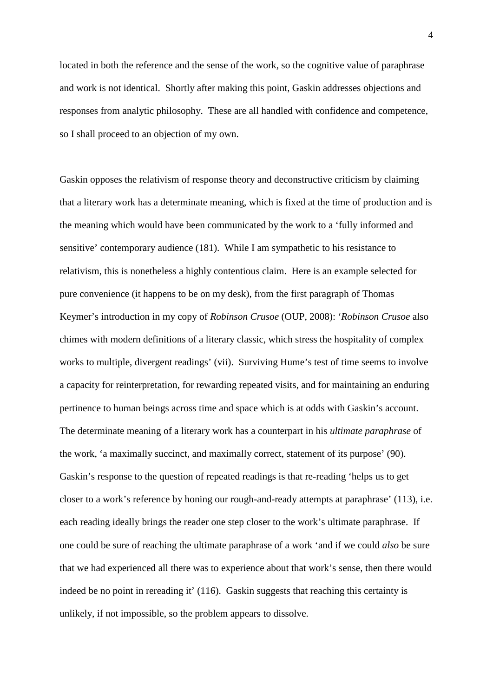located in both the reference and the sense of the work, so the cognitive value of paraphrase and work is not identical. Shortly after making this point, Gaskin addresses objections and responses from analytic philosophy. These are all handled with confidence and competence, so I shall proceed to an objection of my own.

Gaskin opposes the relativism of response theory and deconstructive criticism by claiming that a literary work has a determinate meaning, which is fixed at the time of production and is the meaning which would have been communicated by the work to a 'fully informed and sensitive' contemporary audience (181). While I am sympathetic to his resistance to relativism, this is nonetheless a highly contentious claim. Here is an example selected for pure convenience (it happens to be on my desk), from the first paragraph of Thomas Keymer's introduction in my copy of *Robinson Crusoe* (OUP, 2008): '*Robinson Crusoe* also chimes with modern definitions of a literary classic, which stress the hospitality of complex works to multiple, divergent readings' (vii). Surviving Hume's test of time seems to involve a capacity for reinterpretation, for rewarding repeated visits, and for maintaining an enduring pertinence to human beings across time and space which is at odds with Gaskin's account. The determinate meaning of a literary work has a counterpart in his *ultimate paraphrase* of the work, 'a maximally succinct, and maximally correct, statement of its purpose' (90). Gaskin's response to the question of repeated readings is that re-reading 'helps us to get closer to a work's reference by honing our rough-and-ready attempts at paraphrase' (113), i.e. each reading ideally brings the reader one step closer to the work's ultimate paraphrase. If one could be sure of reaching the ultimate paraphrase of a work 'and if we could *also* be sure that we had experienced all there was to experience about that work's sense, then there would indeed be no point in rereading it' (116). Gaskin suggests that reaching this certainty is unlikely, if not impossible, so the problem appears to dissolve.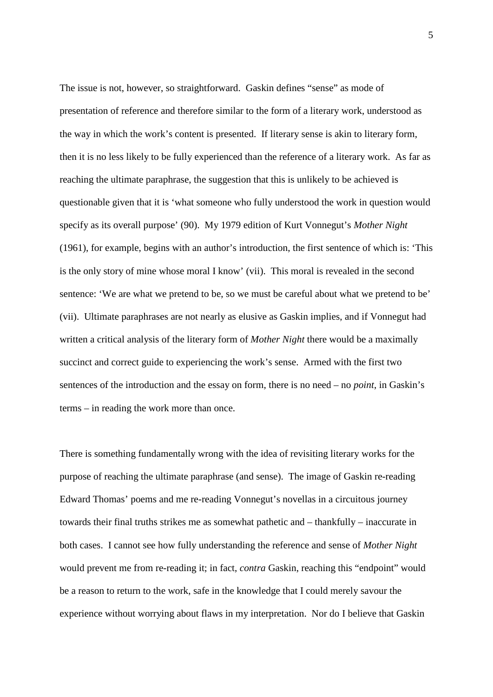The issue is not, however, so straightforward. Gaskin defines "sense" as mode of presentation of reference and therefore similar to the form of a literary work, understood as the way in which the work's content is presented. If literary sense is akin to literary form, then it is no less likely to be fully experienced than the reference of a literary work. As far as reaching the ultimate paraphrase, the suggestion that this is unlikely to be achieved is questionable given that it is 'what someone who fully understood the work in question would specify as its overall purpose' (90). My 1979 edition of Kurt Vonnegut's *Mother Night*  (1961), for example, begins with an author's introduction, the first sentence of which is: 'This is the only story of mine whose moral I know' (vii). This moral is revealed in the second sentence: 'We are what we pretend to be, so we must be careful about what we pretend to be' (vii). Ultimate paraphrases are not nearly as elusive as Gaskin implies, and if Vonnegut had written a critical analysis of the literary form of *Mother Night* there would be a maximally succinct and correct guide to experiencing the work's sense. Armed with the first two sentences of the introduction and the essay on form, there is no need – no *point*, in Gaskin's terms – in reading the work more than once.

There is something fundamentally wrong with the idea of revisiting literary works for the purpose of reaching the ultimate paraphrase (and sense). The image of Gaskin re-reading Edward Thomas' poems and me re-reading Vonnegut's novellas in a circuitous journey towards their final truths strikes me as somewhat pathetic and – thankfully – inaccurate in both cases. I cannot see how fully understanding the reference and sense of *Mother Night* would prevent me from re-reading it; in fact, *contra* Gaskin, reaching this "endpoint" would be a reason to return to the work, safe in the knowledge that I could merely savour the experience without worrying about flaws in my interpretation. Nor do I believe that Gaskin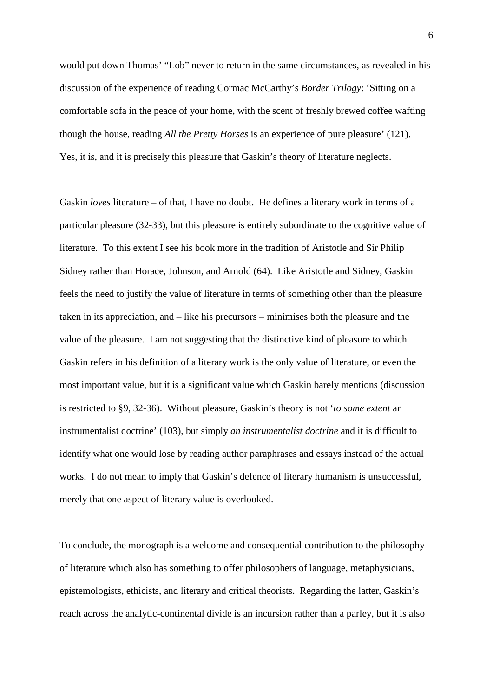would put down Thomas' "Lob" never to return in the same circumstances, as revealed in his discussion of the experience of reading Cormac McCarthy's *Border Trilogy*: 'Sitting on a comfortable sofa in the peace of your home, with the scent of freshly brewed coffee wafting though the house, reading *All the Pretty Horses* is an experience of pure pleasure' (121). Yes, it is, and it is precisely this pleasure that Gaskin's theory of literature neglects.

Gaskin *loves* literature – of that, I have no doubt. He defines a literary work in terms of a particular pleasure (32-33), but this pleasure is entirely subordinate to the cognitive value of literature. To this extent I see his book more in the tradition of Aristotle and Sir Philip Sidney rather than Horace, Johnson, and Arnold (64). Like Aristotle and Sidney, Gaskin feels the need to justify the value of literature in terms of something other than the pleasure taken in its appreciation, and – like his precursors – minimises both the pleasure and the value of the pleasure. I am not suggesting that the distinctive kind of pleasure to which Gaskin refers in his definition of a literary work is the only value of literature, or even the most important value, but it is a significant value which Gaskin barely mentions (discussion is restricted to §9, 32-36). Without pleasure, Gaskin's theory is not '*to some extent* an instrumentalist doctrine' (103), but simply *an instrumentalist doctrine* and it is difficult to identify what one would lose by reading author paraphrases and essays instead of the actual works. I do not mean to imply that Gaskin's defence of literary humanism is unsuccessful, merely that one aspect of literary value is overlooked.

To conclude, the monograph is a welcome and consequential contribution to the philosophy of literature which also has something to offer philosophers of language, metaphysicians, epistemologists, ethicists, and literary and critical theorists. Regarding the latter, Gaskin's reach across the analytic-continental divide is an incursion rather than a parley, but it is also